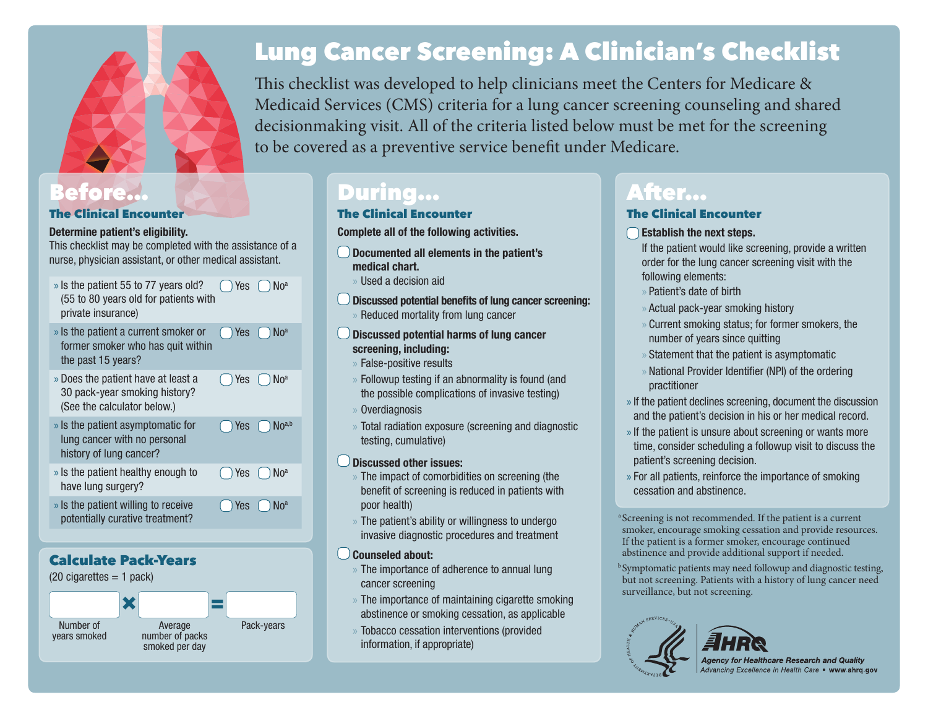

### The Clinical Encounter

### **Determine patient's eligibility.**

This checklist may be completed with the assistance of a nurse, physician assistant, or other medical assistant.

- » Is the patient 55 to 77 years old? (55 to 80 years old for patients with private insurance)  $\bigcap$  Yes  $\bigcap$  No<sup>a</sup>
- » Is the patient a current smoker or former smoker who has quit within the past 15 years?  $\bigcap$  Yes  $\bigcap$  No<sup>a</sup>

 $\bigcap$  Yes  $\bigcap$  No<sup>a</sup>

 $\bigcap$  Yes  $\bigcap$  No<sup>a</sup>

- » Does the patient have at least a 30 pack-year smoking history? (See the calculator below.)
- » Is the patient asymptomatic for lung cancer with no personal history of lung cancer?  $\bigcap$  Yes  $\bigcap$  No<sup>a,b</sup> » Is the patient healthy enough to  $\bigcap$  Yes  $\bigcap$  No<sup>a</sup>
- have lung surgery?
- » Is the patient willing to receive potentially curative treatment?

### Calculate Pack-Years



# Lung Cancer Screening: A Clinician's Checklist

This checklist was developed to help clinicians meet the Centers for Medicare & Medicaid Services (CMS) criteria for a lung cancer screening counseling and shared decisionmaking visit. All of the criteria listed below must be met for the screening to be covered as a preventive service benefit under Medicare.

## Before… AZZ During… After…

### The Clinical Encounter

**Complete all of the following activities.**

- **Documented all elements in the patient's medical chart.**
	- » Used a decision aid
- **Discussed potential benefits of lung cancer screening:** » Reduced mortality from lung cancer
- **Discussed potential harms of lung cancer screening, including:**
	- » False-positive results
	- » Followup testing if an abnormality is found (and the possible complications of invasive testing)
	- » Overdiagnosis
	- » Total radiation exposure (screening and diagnostic testing, cumulative)

### **Discussed other issues:**

- » The impact of comorbidities on screening (the benefit of screening is reduced in patients with poor health)
- » The patient's ability or willingness to undergo invasive diagnostic procedures and treatment

### **Counseled about:**

- » The importance of adherence to annual lung cancer screening
- » The importance of maintaining cigarette smoking abstinence or smoking cessation, as applicable
- » Tobacco cessation interventions (provided information, if appropriate)

### The Clinical Encounter

### **Establish the next steps.**

- If the patient would like screening, provide a written order for the lung cancer screening visit with the following elements:
- » Patient's date of birth
- » Actual pack-year smoking history
- » Current smoking status; for former smokers, the number of years since quitting
- » Statement that the patient is asymptomatic
- » National Provider Identifier (NPI) of the ordering practitioner
- » If the patient declines screening, document the discussion and the patient's decision in his or her medical record.
- » If the patient is unsure about screening or wants more time, consider scheduling a followup visit to discuss the patient's screening decision.
- » For all patients, reinforce the importance of smoking cessation and abstinence.

<sup>a</sup>Screening is not recommended. If the patient is a current smoker, encourage smoking cessation and provide resources. If the patient is a former smoker, encourage continued abstinence and provide additional support if needed.

<sup>b</sup> Symptomatic patients may need followup and diagnostic testing, but not screening. Patients with a history of lung cancer need surveillance, but not screening.



**Agency for Healthcare Research and Quality<br>Advancing Excellence in Health Care • www.ahrq.gov**